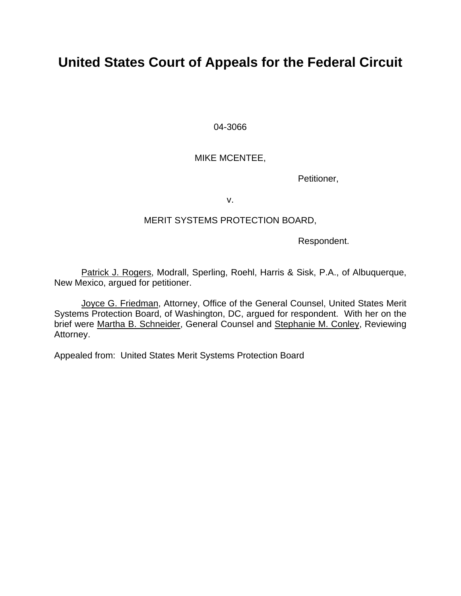# **United States Court of Appeals for the Federal Circuit**

04-3066

# MIKE MCENTEE,

Petitioner,

v.

## MERIT SYSTEMS PROTECTION BOARD,

Respondent.

Patrick J. Rogers, Modrall, Sperling, Roehl, Harris & Sisk, P.A., of Albuquerque, New Mexico, argued for petitioner.

Joyce G. Friedman, Attorney, Office of the General Counsel, United States Merit Systems Protection Board, of Washington, DC, argued for respondent. With her on the brief were Martha B. Schneider, General Counsel and Stephanie M. Conley, Reviewing Attorney.

Appealed from: United States Merit Systems Protection Board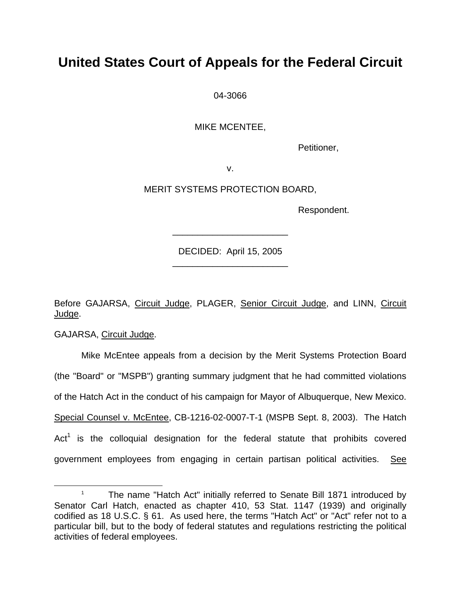# **United States Court of Appeals for the Federal Circuit**

04-3066

MIKE MCENTEE,

Petitioner,

v.

MERIT SYSTEMS PROTECTION BOARD,

Respondent.

DECIDED: April 15, 2005 \_\_\_\_\_\_\_\_\_\_\_\_\_\_\_\_\_\_\_\_\_\_\_

\_\_\_\_\_\_\_\_\_\_\_\_\_\_\_\_\_\_\_\_\_\_\_

Before GAJARSA, Circuit Judge, PLAGER, Senior Circuit Judge, and LINN, Circuit Judge.

GAJARSA, Circuit Judge.

Mike McEntee appeals from a decision by the Merit Systems Protection Board (the "Board" or "MSPB") granting summary judgment that he had committed violations of the Hatch Act in the conduct of his campaign for Mayor of Albuquerque, New Mexico. Special Counsel v. McEntee, CB-1216-02-0007-T-1 (MSPB Sept. 8, 2003). The Hatch Act<sup>[1](#page-1-0)</sup> is the colloquial designation for the federal statute that prohibits covered government employees from engaging in certain partisan political activities. See

<span id="page-1-0"></span> $\begin{array}{c|c}\n\hline\n\end{array}$  The name "Hatch Act" initially referred to Senate Bill 1871 introduced by Senator Carl Hatch, enacted as chapter 410, 53 Stat. 1147 (1939) and originally codified as 18 U.S.C. § 61. As used here, the terms "Hatch Act" or "Act" refer not to a particular bill, but to the body of federal statutes and regulations restricting the political activities of federal employees.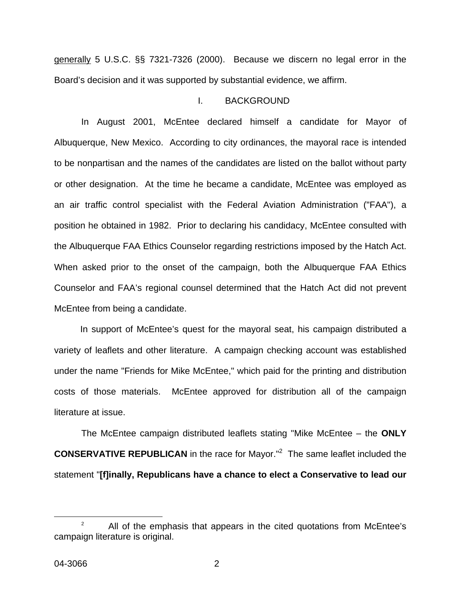generally 5 U.S.C. §§ 7321-7326 (2000). Because we discern no legal error in the Board's decision and it was supported by substantial evidence, we affirm.

### I. BACKGROUND

In August 2001, McEntee declared himself a candidate for Mayor of Albuquerque, New Mexico.According to city ordinances, the mayoral race is intended to be nonpartisan and the names of the candidates are listed on the ballot without party or other designation.At the time he became a candidate, McEntee was employed as an air traffic control specialist with the Federal Aviation Administration ("FAA"), a position he obtained in 1982. Prior to declaring his candidacy, McEntee consulted with the Albuquerque FAA Ethics Counselor regarding restrictions imposed by the Hatch Act. When asked prior to the onset of the campaign, both the Albuquerque FAA Ethics Counselor and FAA's regional counsel determined that the Hatch Act did not prevent McEntee from being a candidate.

In support of McEntee's quest for the mayoral seat, his campaign distributed a variety of leaflets and other literature. A campaign checking account was established under the name "Friends for Mike McEntee," which paid for the printing and distribution costs of those materials. McEntee approved for distribution all of the campaign literature at issue.

The McEntee campaign distributed leaflets stating "Mike McEntee – the **ONLY CONSERVATIVE REPUBLICAN** in the race for Mayor.<sup>"[2](#page-2-0)</sup> The same leaflet included the statement "**[f]inally, Republicans have a chance to elect a Conservative to lead our** 

<span id="page-2-0"></span> $\frac{1}{2}$  $P^2$  All of the emphasis that appears in the cited quotations from McEntee's campaign literature is original.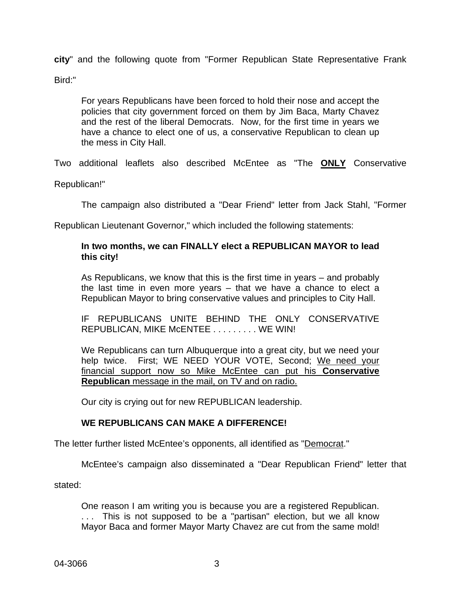**city**" and the following quote from "Former Republican State Representative Frank Bird:"

For years Republicans have been forced to hold their nose and accept the policies that city government forced on them by Jim Baca, Marty Chavez and the rest of the liberal Democrats. Now, for the first time in years we have a chance to elect one of us, a conservative Republican to clean up the mess in City Hall.

Two additional leaflets also described McEntee as "The **ONLY** Conservative

Republican!"

The campaign also distributed a "Dear Friend" letter from Jack Stahl, "Former

Republican Lieutenant Governor," which included the following statements:

## **In two months, we can FINALLY elect a REPUBLICAN MAYOR to lead this city!**

As Republicans, we know that this is the first time in years – and probably the last time in even more years – that we have a chance to elect a Republican Mayor to bring conservative values and principles to City Hall.

IF REPUBLICANS UNITE BEHIND THE ONLY CONSERVATIVE REPUBLICAN, MIKE MCENTEE . . . . . . . . . WE WIN!

We Republicans can turn Albuquerque into a great city, but we need your help twice. First; WE NEED YOUR VOTE, Second; We need your financial support now so Mike McEntee can put his **Conservative Republican** message in the mail, on TV and on radio.

Our city is crying out for new REPUBLICAN leadership.

### **WE REPUBLICANS CAN MAKE A DIFFERENCE!**

The letter further listed McEntee's opponents, all identified as "Democrat."

McEntee's campaign also disseminated a "Dear Republican Friend" letter that

stated:

One reason I am writing you is because you are a registered Republican. . . . This is not supposed to be a "partisan" election, but we all know Mayor Baca and former Mayor Marty Chavez are cut from the same mold!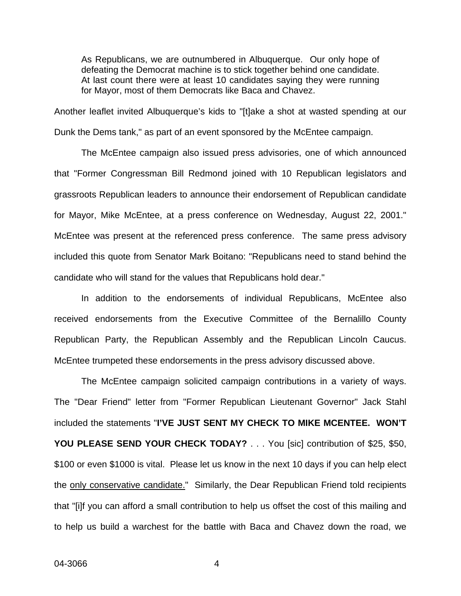As Republicans, we are outnumbered in Albuquerque. Our only hope of defeating the Democrat machine is to stick together behind one candidate. At last count there were at least 10 candidates saying they were running for Mayor, most of them Democrats like Baca and Chavez.

Another leaflet invited Albuquerque's kids to "[t]ake a shot at wasted spending at our Dunk the Dems tank," as part of an event sponsored by the McEntee campaign.

The McEntee campaign also issued press advisories, one of which announced that "Former Congressman Bill Redmond joined with 10 Republican legislators and grassroots Republican leaders to announce their endorsement of Republican candidate for Mayor, Mike McEntee, at a press conference on Wednesday, August 22, 2001." McEntee was present at the referenced press conference. The same press advisory included this quote from Senator Mark Boitano: "Republicans need to stand behind the candidate who will stand for the values that Republicans hold dear."

In addition to the endorsements of individual Republicans, McEntee also received endorsements from the Executive Committee of the Bernalillo County Republican Party, the Republican Assembly and the Republican Lincoln Caucus. McEntee trumpeted these endorsements in the press advisory discussed above.

The McEntee campaign solicited campaign contributions in a variety of ways. The "Dear Friend" letter from "Former Republican Lieutenant Governor" Jack Stahl included the statements "**I'VE JUST SENT MY CHECK TO MIKE MCENTEE. WON'T YOU PLEASE SEND YOUR CHECK TODAY?** . . . You [sic] contribution of \$25, \$50, \$100 or even \$1000 is vital. Please let us know in the next 10 days if you can help elect the only conservative candidate."Similarly, the Dear Republican Friend told recipients that "[i]f you can afford a small contribution to help us offset the cost of this mailing and to help us build a warchest for the battle with Baca and Chavez down the road, we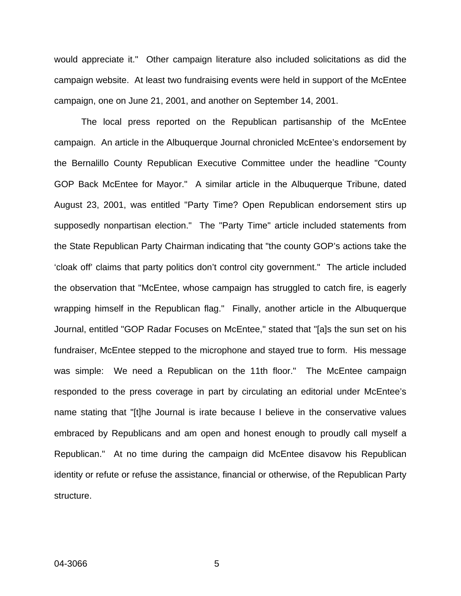would appreciate it."Other campaign literature also included solicitations as did the campaign website.At least two fundraising events were held in support of the McEntee campaign, one on June 21, 2001, and another on September 14, 2001.

The local press reported on the Republican partisanship of the McEntee campaign. An article in the Albuquerque Journal chronicled McEntee's endorsement by the Bernalillo County Republican Executive Committee under the headline "County GOP Back McEntee for Mayor."A similar article in the Albuquerque Tribune, dated August 23, 2001, was entitled "Party Time? Open Republican endorsement stirs up supposedly nonpartisan election." The "Party Time" article included statements from the State Republican Party Chairman indicating that "the county GOP's actions take the 'cloak off' claims that party politics don't control city government."The article included the observation that "McEntee, whose campaign has struggled to catch fire, is eagerly wrapping himself in the Republican flag." Finally, another article in the Albuquerque Journal, entitled "GOP Radar Focuses on McEntee," stated that "[a]s the sun set on his fundraiser, McEntee stepped to the microphone and stayed true to form. His message was simple: We need a Republican on the 11th floor." The McEntee campaign responded to the press coverage in part by circulating an editorial under McEntee's name stating that "[t]he Journal is irate because I believe in the conservative values embraced by Republicans and am open and honest enough to proudly call myself a Republican."At no time during the campaign did McEntee disavow his Republican identity or refute or refuse the assistance, financial or otherwise, of the Republican Party structure.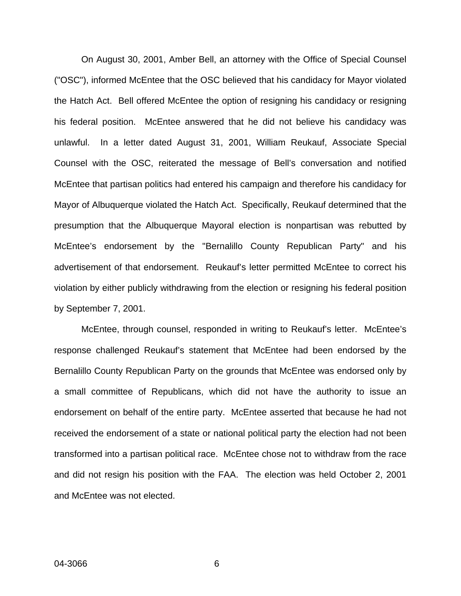On August 30, 2001, Amber Bell, an attorney with the Office of Special Counsel ("OSC"), informed McEntee that the OSC believed that his candidacy for Mayor violated the Hatch Act. Bell offered McEntee the option of resigning his candidacy or resigning his federal position. McEntee answered that he did not believe his candidacy was unlawful. In a letter dated August 31, 2001, William Reukauf, Associate Special Counsel with the OSC, reiterated the message of Bell's conversation and notified McEntee that partisan politics had entered his campaign and therefore his candidacy for Mayor of Albuquerque violated the Hatch Act. Specifically, Reukauf determined that the presumption that the Albuquerque Mayoral election is nonpartisan was rebutted by McEntee's endorsement by the "Bernalillo County Republican Party" and his advertisement of that endorsement. Reukauf's letter permitted McEntee to correct his violation by either publicly withdrawing from the election or resigning his federal position by September 7, 2001.

McEntee, through counsel, responded in writing to Reukauf's letter. McEntee's response challenged Reukauf's statement that McEntee had been endorsed by the Bernalillo County Republican Party on the grounds that McEntee was endorsed only by a small committee of Republicans, which did not have the authority to issue an endorsement on behalf of the entire party. McEntee asserted that because he had not received the endorsement of a state or national political party the election had not been transformed into a partisan political race. McEntee chose not to withdraw from the race and did not resign his position with the FAA. The election was held October 2, 2001 and McEntee was not elected.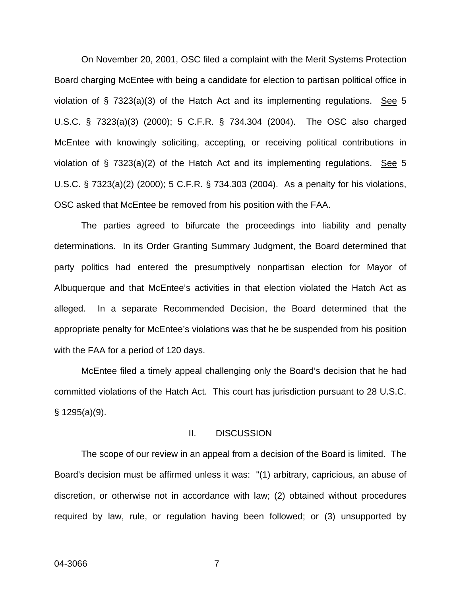On November 20, 2001, OSC filed a complaint with the Merit Systems Protection Board charging McEntee with being a candidate for election to partisan political office in violation of § 7323(a)(3) of the Hatch Act and its implementing regulations. See 5 U.S.C. § 7323(a)(3) (2000); 5 C.F.R. § 734.304 (2004). The OSC also charged McEntee with knowingly soliciting, accepting, or receiving political contributions in violation of § 7323(a)(2) of the Hatch Act and its implementing regulations. See 5 U.S.C. § 7323(a)(2) (2000); 5 C.F.R. § 734.303 (2004). As a penalty for his violations, OSC asked that McEntee be removed from his position with the FAA.

The parties agreed to bifurcate the proceedings into liability and penalty determinations. In its Order Granting Summary Judgment, the Board determined that party politics had entered the presumptively nonpartisan election for Mayor of Albuquerque and that McEntee's activities in that election violated the Hatch Act as alleged. In a separate Recommended Decision, the Board determined that the appropriate penalty for McEntee's violations was that he be suspended from his position with the FAA for a period of 120 days.

McEntee filed a timely appeal challenging only the Board's decision that he had committed violations of the Hatch Act. This court has jurisdiction pursuant to 28 U.S.C. § 1295(a)(9).

#### II. DISCUSSION

The scope of our review in an appeal from a decision of the Board is limited. The Board's decision must be affirmed unless it was: "(1) arbitrary, capricious, an abuse of discretion, or otherwise not in accordance with law; (2) obtained without procedures required by law, rule, or regulation having been followed; or (3) unsupported by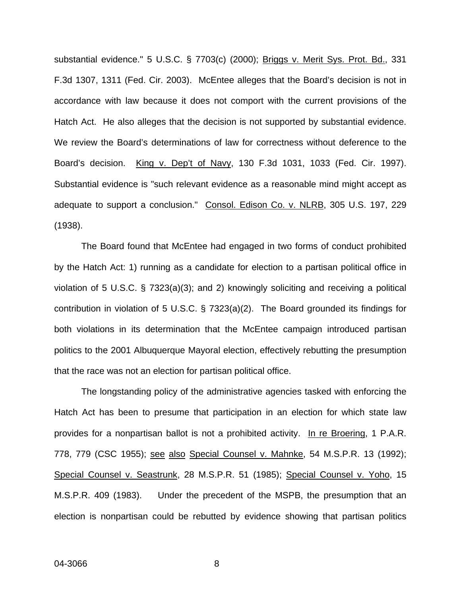substantial evidence." 5 U.S.C. § 7703(c) (2000); Briggs v. Merit Sys. Prot. Bd., 331 F.3d 1307, 1311 (Fed. Cir. 2003). McEntee alleges that the Board's decision is not in accordance with law because it does not comport with the current provisions of the Hatch Act. He also alleges that the decision is not supported by substantial evidence. We review the Board's determinations of law for correctness without deference to the Board's decision. King v. Dep't of Navy, 130 F.3d 1031, 1033 (Fed. Cir. 1997). Substantial evidence is "such relevant evidence as a reasonable mind might accept as adequate to support a conclusion." Consol. Edison Co. v. NLRB, 305 U.S. 197, 229 (1938).

The Board found that McEntee had engaged in two forms of conduct prohibited by the Hatch Act: 1) running as a candidate for election to a partisan political office in violation of 5 U.S.C.  $\S$  7323(a)(3); and 2) knowingly soliciting and receiving a political contribution in violation of 5 U.S.C. § 7323(a)(2). The Board grounded its findings for both violations in its determination that the McEntee campaign introduced partisan politics to the 2001 Albuquerque Mayoral election, effectively rebutting the presumption that the race was not an election for partisan political office.

The longstanding policy of the administrative agencies tasked with enforcing the Hatch Act has been to presume that participation in an election for which state law provides for a nonpartisan ballot is not a prohibited activity. In re Broering, 1 P.A.R. 778, 779 (CSC 1955); see also Special Counsel v. Mahnke, 54 M.S.P.R. 13 (1992); Special Counsel v. Seastrunk, 28 M.S.P.R. 51 (1985); Special Counsel v. Yoho, 15 M.S.P.R. 409 (1983). Under the precedent of the MSPB, the presumption that an election is nonpartisan could be rebutted by evidence showing that partisan politics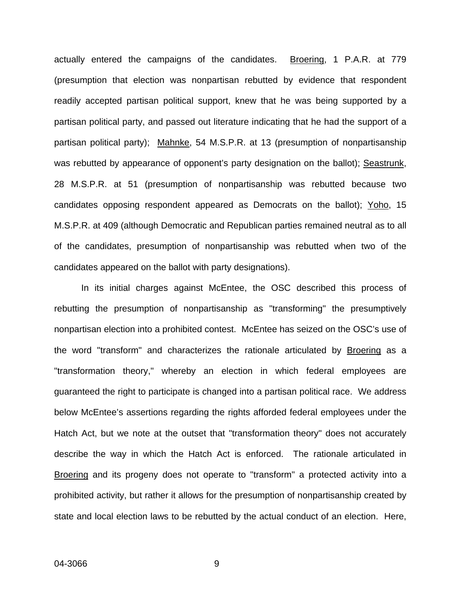actually entered the campaigns of the candidates. Broering, 1 P.A.R. at 779 (presumption that election was nonpartisan rebutted by evidence that respondent readily accepted partisan political support, knew that he was being supported by a partisan political party, and passed out literature indicating that he had the support of a partisan political party); Mahnke, 54 M.S.P.R. at 13 (presumption of nonpartisanship was rebutted by appearance of opponent's party designation on the ballot); Seastrunk, 28 M.S.P.R. at 51 (presumption of nonpartisanship was rebutted because two candidates opposing respondent appeared as Democrats on the ballot); Yoho, 15 M.S.P.R. at 409 (although Democratic and Republican parties remained neutral as to all of the candidates, presumption of nonpartisanship was rebutted when two of the candidates appeared on the ballot with party designations).

In its initial charges against McEntee, the OSC described this process of rebutting the presumption of nonpartisanship as "transforming" the presumptively nonpartisan election into a prohibited contest. McEntee has seized on the OSC's use of the word "transform" and characterizes the rationale articulated by Broering as a "transformation theory," whereby an election in which federal employees are guaranteed the right to participate is changed into a partisan political race. We address below McEntee's assertions regarding the rights afforded federal employees under the Hatch Act, but we note at the outset that "transformation theory" does not accurately describe the way in which the Hatch Act is enforced. The rationale articulated in Broering and its progeny does not operate to "transform" a protected activity into a prohibited activity, but rather it allows for the presumption of nonpartisanship created by state and local election laws to be rebutted by the actual conduct of an election. Here,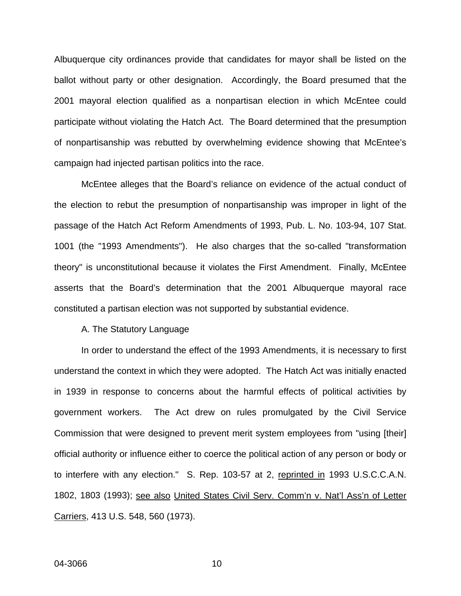Albuquerque city ordinances provide that candidates for mayor shall be listed on the ballot without party or other designation. Accordingly, the Board presumed that the 2001 mayoral election qualified as a nonpartisan election in which McEntee could participate without violating the Hatch Act. The Board determined that the presumption of nonpartisanship was rebutted by overwhelming evidence showing that McEntee's campaign had injected partisan politics into the race.

McEntee alleges that the Board's reliance on evidence of the actual conduct of the election to rebut the presumption of nonpartisanship was improper in light of the passage of the Hatch Act Reform Amendments of 1993, Pub. L. No. 103-94, 107 Stat. 1001 (the "1993 Amendments"). He also charges that the so-called "transformation theory" is unconstitutional because it violates the First Amendment. Finally, McEntee asserts that the Board's determination that the 2001 Albuquerque mayoral race constituted a partisan election was not supported by substantial evidence.

#### A. The Statutory Language

In order to understand the effect of the 1993 Amendments, it is necessary to first understand the context in which they were adopted. The Hatch Act was initially enacted in 1939 in response to concerns about the harmful effects of political activities by government workers. The Act drew on rules promulgated by the Civil Service Commission that were designed to prevent merit system employees from "using [their] official authority or influence either to coerce the political action of any person or body or to interfere with any election." S. Rep. 103-57 at 2, reprinted in 1993 U.S.C.C.A.N. 1802, 1803 (1993); see also United States Civil Serv. Comm'n v. Nat'l Ass'n of Letter Carriers, 413 U.S. 548, 560 (1973).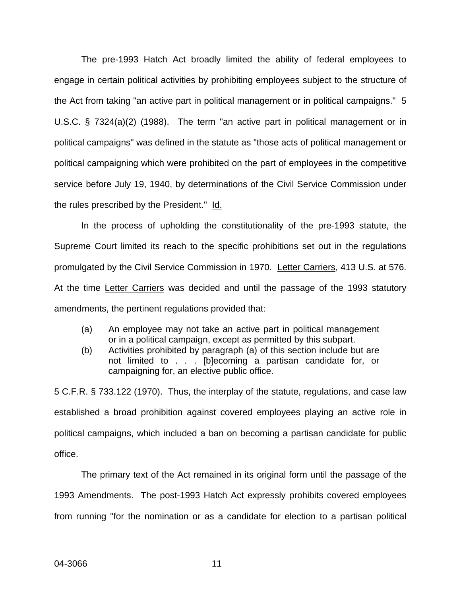The pre-1993 Hatch Act broadly limited the ability of federal employees to engage in certain political activities by prohibiting employees subject to the structure of the Act from taking "an active part in political management or in political campaigns." 5 U.S.C. § 7324(a)(2) (1988). The term "an active part in political management or in political campaigns" was defined in the statute as "those acts of political management or political campaigning which were prohibited on the part of employees in the competitive service before July 19, 1940, by determinations of the Civil Service Commission under the rules prescribed by the President." Id.

In the process of upholding the constitutionality of the pre-1993 statute, the Supreme Court limited its reach to the specific prohibitions set out in the regulations promulgated by the Civil Service Commission in 1970. Letter Carriers, 413 U.S. at 576. At the time Letter Carriers was decided and until the passage of the 1993 statutory amendments, the pertinent regulations provided that:

- (a) An employee may not take an active part in political management or in a political campaign, except as permitted by this subpart.
- (b) Activities prohibited by paragraph (a) of this section include but are not limited to . . . [b]ecoming a partisan candidate for, or campaigning for, an elective public office.

5 C.F.R. § 733.122 (1970). Thus, the interplay of the statute, regulations, and case law established a broad prohibition against covered employees playing an active role in political campaigns, which included a ban on becoming a partisan candidate for public office.

The primary text of the Act remained in its original form until the passage of the 1993 Amendments. The post-1993 Hatch Act expressly prohibits covered employees from running "for the nomination or as a candidate for election to a partisan political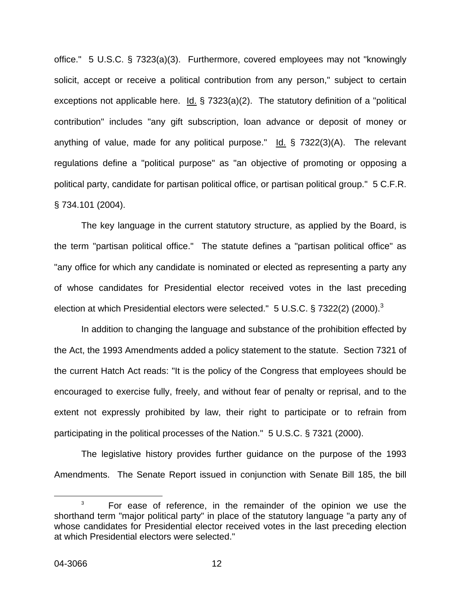office." 5 U.S.C. § 7323(a)(3). Furthermore, covered employees may not "knowingly solicit, accept or receive a political contribution from any person," subject to certain exceptions not applicable here. Id. § 7323(a)(2). The statutory definition of a "political contribution" includes "any gift subscription, loan advance or deposit of money or anything of value, made for any political purpose." Id. § 7322(3)(A). The relevant regulations define a "political purpose" as "an objective of promoting or opposing a political party, candidate for partisan political office, or partisan political group." 5 C.F.R. § 734.101 (2004).

The key language in the current statutory structure, as applied by the Board, is the term "partisan political office." The statute defines a "partisan political office" as "any office for which any candidate is nominated or elected as representing a party any of whose candidates for Presidential elector received votes in the last preceding election at which Presidential electors were selected." 5 U.S.C. § 7[3](#page-12-0)22(2) (2000).<sup>3</sup>

In addition to changing the language and substance of the prohibition effected by the Act, the 1993 Amendments added a policy statement to the statute. Section 7321 of the current Hatch Act reads: "It is the policy of the Congress that employees should be encouraged to exercise fully, freely, and without fear of penalty or reprisal, and to the extent not expressly prohibited by law, their right to participate or to refrain from participating in the political processes of the Nation." 5 U.S.C. § 7321 (2000).

The legislative history provides further guidance on the purpose of the 1993 Amendments. The Senate Report issued in conjunction with Senate Bill 185, the bill

<span id="page-12-0"></span> $\overline{\phantom{a}}$  3 <sup>3</sup> For ease of reference, in the remainder of the opinion we use the shorthand term "major political party" in place of the statutory language "a party any of whose candidates for Presidential elector received votes in the last preceding election at which Presidential electors were selected."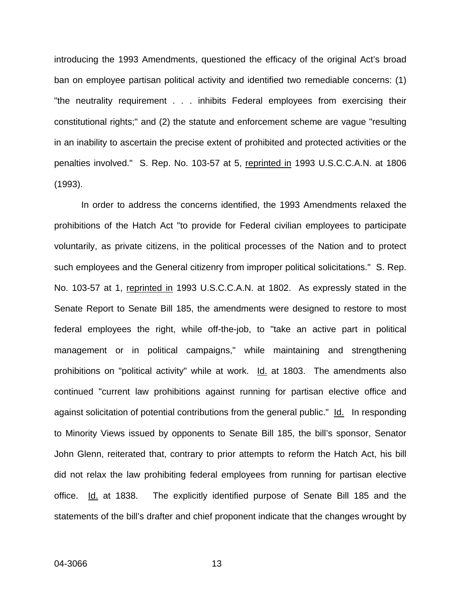introducing the 1993 Amendments, questioned the efficacy of the original Act's broad ban on employee partisan political activity and identified two remediable concerns: (1) "the neutrality requirement . . . inhibits Federal employees from exercising their constitutional rights;" and (2) the statute and enforcement scheme are vague "resulting in an inability to ascertain the precise extent of prohibited and protected activities or the penalties involved." S. Rep. No. 103-57 at 5, reprinted in 1993 U.S.C.C.A.N. at 1806 (1993).

In order to address the concerns identified, the 1993 Amendments relaxed the prohibitions of the Hatch Act "to provide for Federal civilian employees to participate voluntarily, as private citizens, in the political processes of the Nation and to protect such employees and the General citizenry from improper political solicitations." S. Rep. No. 103-57 at 1, reprinted in 1993 U.S.C.C.A.N. at 1802. As expressly stated in the Senate Report to Senate Bill 185, the amendments were designed to restore to most federal employees the right, while off-the-job, to "take an active part in political management or in political campaigns," while maintaining and strengthening prohibitions on "political activity" while at work. Id. at 1803. The amendments also continued "current law prohibitions against running for partisan elective office and against solicitation of potential contributions from the general public." Id. In responding to Minority Views issued by opponents to Senate Bill 185, the bill's sponsor, Senator John Glenn, reiterated that, contrary to prior attempts to reform the Hatch Act, his bill did not relax the law prohibiting federal employees from running for partisan elective office. Id. at 1838. The explicitly identified purpose of Senate Bill 185 and the statements of the bill's drafter and chief proponent indicate that the changes wrought by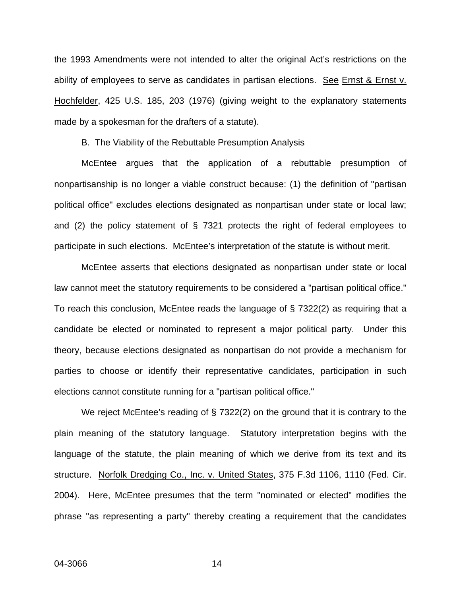the 1993 Amendments were not intended to alter the original Act's restrictions on the ability of employees to serve as candidates in partisan elections. See Ernst & Ernst v. Hochfelder, 425 U.S. 185, 203 (1976) (giving weight to the explanatory statements made by a spokesman for the drafters of a statute).

B. The Viability of the Rebuttable Presumption Analysis

McEntee argues that the application of a rebuttable presumption of nonpartisanship is no longer a viable construct because: (1) the definition of "partisan political office" excludes elections designated as nonpartisan under state or local law; and (2) the policy statement of § 7321 protects the right of federal employees to participate in such elections. McEntee's interpretation of the statute is without merit.

McEntee asserts that elections designated as nonpartisan under state or local law cannot meet the statutory requirements to be considered a "partisan political office." To reach this conclusion, McEntee reads the language of § 7322(2) as requiring that a candidate be elected or nominated to represent a major political party. Under this theory, because elections designated as nonpartisan do not provide a mechanism for parties to choose or identify their representative candidates, participation in such elections cannot constitute running for a "partisan political office."

We reject McEntee's reading of § 7322(2) on the ground that it is contrary to the plain meaning of the statutory language. Statutory interpretation begins with the language of the statute, the plain meaning of which we derive from its text and its structure. Norfolk Dredging Co., Inc. v. United States, 375 F.3d 1106, 1110 (Fed. Cir. 2004). Here, McEntee presumes that the term "nominated or elected" modifies the phrase "as representing a party" thereby creating a requirement that the candidates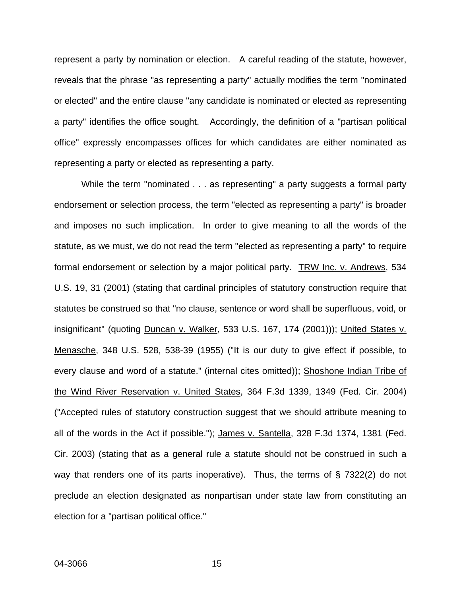represent a party by nomination or election. A careful reading of the statute, however, reveals that the phrase "as representing a party" actually modifies the term "nominated or elected" and the entire clause "any candidate is nominated or elected as representing a party" identifies the office sought. Accordingly, the definition of a "partisan political office" expressly encompasses offices for which candidates are either nominated as representing a party or elected as representing a party.

While the term "nominated . . . as representing" a party suggests a formal party endorsement or selection process, the term "elected as representing a party" is broader and imposes no such implication. In order to give meaning to all the words of the statute, as we must, we do not read the term "elected as representing a party" to require formal endorsement or selection by a major political party. TRW Inc. v. Andrews, 534 U.S. 19, 31 (2001) (stating that cardinal principles of statutory construction require that statutes be construed so that "no clause, sentence or word shall be superfluous, void, or insignificant" (quoting Duncan v. Walker, 533 U.S. 167, 174 (2001))); United States v. Menasche, 348 U.S. 528, 538-39 (1955) ("It is our duty to give effect if possible, to every clause and word of a statute." (internal cites omitted)); Shoshone Indian Tribe of the Wind River Reservation v. United States, 364 F.3d 1339, 1349 (Fed. Cir. 2004) ("Accepted rules of statutory construction suggest that we should attribute meaning to all of the words in the Act if possible."); James v. Santella, 328 F.3d 1374, 1381 (Fed. Cir. 2003) (stating that as a general rule a statute should not be construed in such a way that renders one of its parts inoperative). Thus, the terms of § 7322(2) do not preclude an election designated as nonpartisan under state law from constituting an election for a "partisan political office."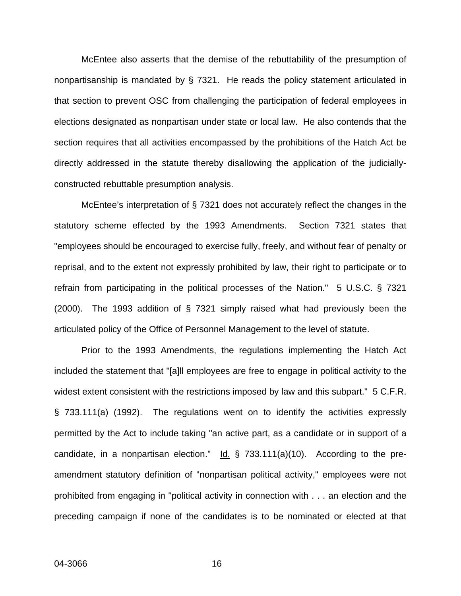McEntee also asserts that the demise of the rebuttability of the presumption of nonpartisanship is mandated by § 7321. He reads the policy statement articulated in that section to prevent OSC from challenging the participation of federal employees in elections designated as nonpartisan under state or local law. He also contends that the section requires that all activities encompassed by the prohibitions of the Hatch Act be directly addressed in the statute thereby disallowing the application of the judiciallyconstructed rebuttable presumption analysis.

McEntee's interpretation of § 7321 does not accurately reflect the changes in the statutory scheme effected by the 1993 Amendments. Section 7321 states that "employees should be encouraged to exercise fully, freely, and without fear of penalty or reprisal, and to the extent not expressly prohibited by law, their right to participate or to refrain from participating in the political processes of the Nation." 5 U.S.C. § 7321 (2000). The 1993 addition of § 7321 simply raised what had previously been the articulated policy of the Office of Personnel Management to the level of statute.

Prior to the 1993 Amendments, the regulations implementing the Hatch Act included the statement that "[a]ll employees are free to engage in political activity to the widest extent consistent with the restrictions imposed by law and this subpart." 5 C.F.R. § 733.111(a) (1992). The regulations went on to identify the activities expressly permitted by the Act to include taking "an active part, as a candidate or in support of a candidate, in a nonpartisan election."  $\text{Id.}$  § 733.111(a)(10). According to the preamendment statutory definition of "nonpartisan political activity," employees were not prohibited from engaging in "political activity in connection with . . . an election and the preceding campaign if none of the candidates is to be nominated or elected at that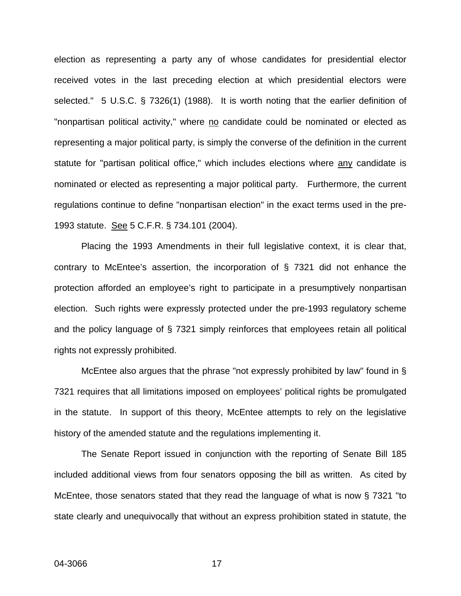election as representing a party any of whose candidates for presidential elector received votes in the last preceding election at which presidential electors were selected." 5 U.S.C. § 7326(1) (1988). It is worth noting that the earlier definition of "nonpartisan political activity," where no candidate could be nominated or elected as representing a major political party, is simply the converse of the definition in the current statute for "partisan political office," which includes elections where any candidate is nominated or elected as representing a major political party. Furthermore, the current regulations continue to define "nonpartisan election" in the exact terms used in the pre-1993 statute. See 5 C.F.R. § 734.101 (2004).

Placing the 1993 Amendments in their full legislative context, it is clear that, contrary to McEntee's assertion, the incorporation of § 7321 did not enhance the protection afforded an employee's right to participate in a presumptively nonpartisan election. Such rights were expressly protected under the pre-1993 regulatory scheme and the policy language of § 7321 simply reinforces that employees retain all political rights not expressly prohibited.

McEntee also argues that the phrase "not expressly prohibited by law" found in § 7321 requires that all limitations imposed on employees' political rights be promulgated in the statute. In support of this theory, McEntee attempts to rely on the legislative history of the amended statute and the regulations implementing it.

The Senate Report issued in conjunction with the reporting of Senate Bill 185 included additional views from four senators opposing the bill as written. As cited by McEntee, those senators stated that they read the language of what is now § 7321 "to state clearly and unequivocally that without an express prohibition stated in statute, the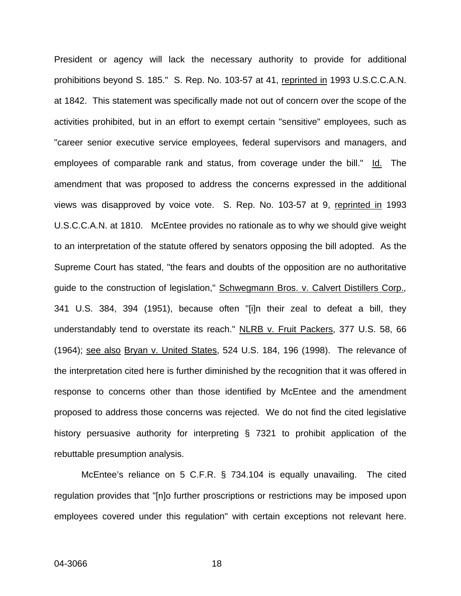President or agency will lack the necessary authority to provide for additional prohibitions beyond S. 185." S. Rep. No. 103-57 at 41, reprinted in 1993 U.S.C.C.A.N. at 1842. This statement was specifically made not out of concern over the scope of the activities prohibited, but in an effort to exempt certain "sensitive" employees, such as "career senior executive service employees, federal supervisors and managers, and employees of comparable rank and status, from coverage under the bill." Id. The amendment that was proposed to address the concerns expressed in the additional views was disapproved by voice vote. S. Rep. No. 103-57 at 9, reprinted in 1993 U.S.C.C.A.N. at 1810. McEntee provides no rationale as to why we should give weight to an interpretation of the statute offered by senators opposing the bill adopted. As the Supreme Court has stated, "the fears and doubts of the opposition are no authoritative guide to the construction of legislation," Schwegmann Bros. v. Calvert Distillers Corp.*,*  341 U.S. 384, 394 (1951), because often "[i]n their zeal to defeat a bill, they understandably tend to overstate its reach." NLRB v. Fruit Packers, 377 U.S. 58, 66 (1964); see also Bryan v. United States, 524 U.S. 184, 196 (1998).The relevance of the interpretation cited here is further diminished by the recognition that it was offered in response to concerns other than those identified by McEntee and the amendment proposed to address those concerns was rejected. We do not find the cited legislative history persuasive authority for interpreting § 7321 to prohibit application of the rebuttable presumption analysis.

McEntee's reliance on 5 C.F.R. § 734.104 is equally unavailing. The cited regulation provides that "[n]o further proscriptions or restrictions may be imposed upon employees covered under this regulation" with certain exceptions not relevant here.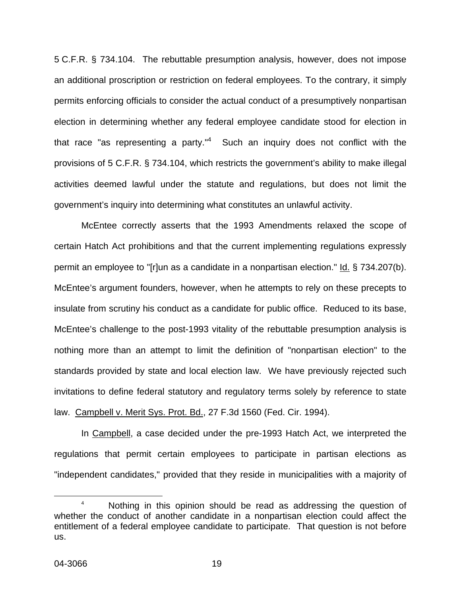5 C.F.R. § 734.104. The rebuttable presumption analysis, however, does not impose an additional proscription or restriction on federal employees. To the contrary, it simply permits enforcing officials to consider the actual conduct of a presumptively nonpartisan election in determining whether any federal employee candidate stood for election in that race "as representing a party."<sup>4</sup> Such an inquiry does not conflict with the provisions of 5 C.F.R. § 734.104, which restricts the government's ability to make illegal activities deemed lawful under the statute and regulations, but does not limit the government's inquiry into determining what constitutes an unlawful activity.

McEntee correctly asserts that the 1993 Amendments relaxed the scope of certain Hatch Act prohibitions and that the current implementing regulations expressly permit an employee to "[r]un as a candidate in a nonpartisan election." Id. § 734.207(b). McEntee's argument founders, however, when he attempts to rely on these precepts to insulate from scrutiny his conduct as a candidate for public office. Reduced to its base, McEntee's challenge to the post-1993 vitality of the rebuttable presumption analysis is nothing more than an attempt to limit the definition of "nonpartisan election" to the standards provided by state and local election law. We have previously rejected such invitations to define federal statutory and regulatory terms solely by reference to state law. Campbell v. Merit Sys. Prot. Bd., 27 F.3d 1560 (Fed. Cir. 1994).

In Campbell, a case decided under the pre-1993 Hatch Act, we interpreted the regulations that permit certain employees to participate in partisan elections as "independent candidates," provided that they reside in municipalities with a majority of

<span id="page-19-0"></span> $\overline{a}$ <sup>4</sup> Nothing in this opinion should be read as addressing the question of whether the conduct of another candidate in a nonpartisan election could affect the entitlement of a federal employee candidate to participate. That question is not before us.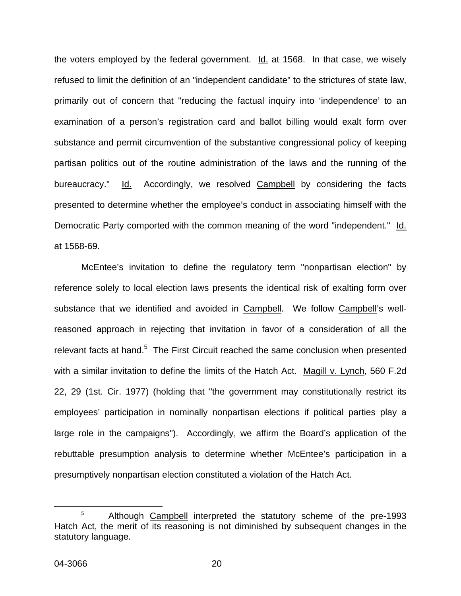the voters employed by the federal government. Id. at 1568. In that case, we wisely refused to limit the definition of an "independent candidate" to the strictures of state law, primarily out of concern that "reducing the factual inquiry into 'independence' to an examination of a person's registration card and ballot billing would exalt form over substance and permit circumvention of the substantive congressional policy of keeping partisan politics out of the routine administration of the laws and the running of the bureaucracy." Id. Accordingly, we resolved Campbell by considering the facts presented to determine whether the employee's conduct in associating himself with the Democratic Party comported with the common meaning of the word "independent." Id. at 1568-69.

McEntee's invitation to define the regulatory term "nonpartisan election" by reference solely to local election laws presents the identical risk of exalting form over substance that we identified and avoided in Campbell. We follow Campbell's wellreasoned approach in rejecting that invitation in favor of a consideration of all the relevant facts at hand. $5$  The First Circuit reached the same conclusion when presented with a similar invitation to define the limits of the Hatch Act. Magill v. Lynch, 560 F.2d 22, 29 (1st. Cir. 1977) (holding that "the government may constitutionally restrict its employees' participation in nominally nonpartisan elections if political parties play a large role in the campaigns"). Accordingly, we affirm the Board's application of the rebuttable presumption analysis to determine whether McEntee's participation in a presumptively nonpartisan election constituted a violation of the Hatch Act.

<span id="page-20-0"></span> <sup>5</sup> <sup>5</sup> Although Campbell interpreted the statutory scheme of the pre-1993 Hatch Act, the merit of its reasoning is not diminished by subsequent changes in the statutory language.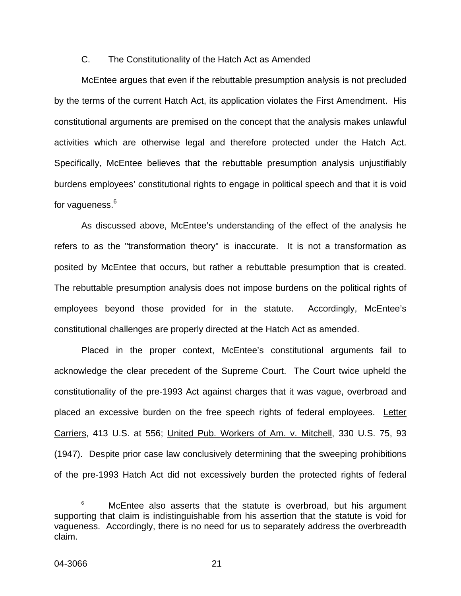## C. The Constitutionality of the Hatch Act as Amended

McEntee argues that even if the rebuttable presumption analysis is not precluded by the terms of the current Hatch Act, its application violates the First Amendment. His constitutional arguments are premised on the concept that the analysis makes unlawful activities which are otherwise legal and therefore protected under the Hatch Act. Specifically, McEntee believes that the rebuttable presumption analysis unjustifiably burdens employees' constitutional rights to engage in political speech and that it is void for vagueness. $^6$  $^6$ 

As discussed above, McEntee's understanding of the effect of the analysis he refers to as the "transformation theory" is inaccurate. It is not a transformation as posited by McEntee that occurs, but rather a rebuttable presumption that is created. The rebuttable presumption analysis does not impose burdens on the political rights of employees beyond those provided for in the statute. Accordingly, McEntee's constitutional challenges are properly directed at the Hatch Act as amended.

Placed in the proper context, McEntee's constitutional arguments fail to acknowledge the clear precedent of the Supreme Court. The Court twice upheld the constitutionality of the pre-1993 Act against charges that it was vague, overbroad and placed an excessive burden on the free speech rights of federal employees. Letter Carriers, 413 U.S. at 556; United Pub. Workers of Am. v. Mitchell, 330 U.S. 75, 93 (1947). Despite prior case law conclusively determining that the sweeping prohibitions of the pre-1993 Hatch Act did not excessively burden the protected rights of federal

<span id="page-21-0"></span> $\begin{array}{c|c}\n\hline\n\text{6}\n\end{array}$  $6$  McEntee also asserts that the statute is overbroad, but his argument supporting that claim is indistinguishable from his assertion that the statute is void for vagueness. Accordingly, there is no need for us to separately address the overbreadth claim.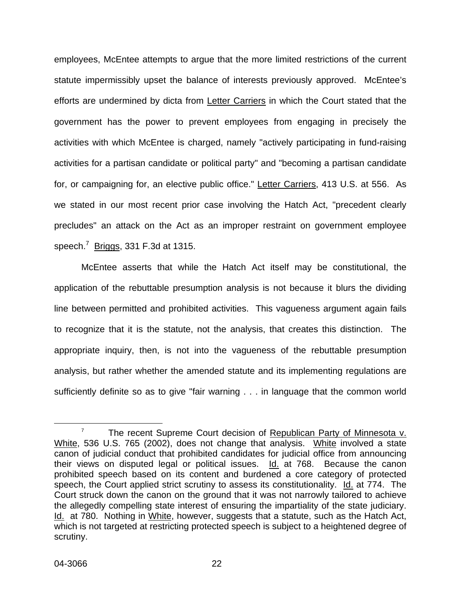employees, McEntee attempts to argue that the more limited restrictions of the current statute impermissibly upset the balance of interests previously approved. McEntee's efforts are undermined by dicta from Letter Carriers in which the Court stated that the government has the power to prevent employees from engaging in precisely the activities with which McEntee is charged, namely "actively participating in fund-raising activities for a partisan candidate or political party" and "becoming a partisan candidate for, or campaigning for, an elective public office." Letter Carriers, 413 U.S. at 556. As we stated in our most recent prior case involving the Hatch Act, "precedent clearly precludes" an attack on the Act as an improper restraint on government employee speech.<sup>[7](#page-22-0)</sup> Briggs, 331 F.3d at 1315.

McEntee asserts that while the Hatch Act itself may be constitutional, the application of the rebuttable presumption analysis is not because it blurs the dividing line between permitted and prohibited activities. This vagueness argument again fails to recognize that it is the statute, not the analysis, that creates this distinction. The appropriate inquiry, then, is not into the vagueness of the rebuttable presumption analysis, but rather whether the amended statute and its implementing regulations are sufficiently definite so as to give "fair warning . . . in language that the common world

<span id="page-22-0"></span><sup>&</sup>lt;sup>7</sup> The recent Supreme Court decision of Republican Party of Minnesota v. White, 536 U.S. 765 (2002), does not change that analysis. White involved a state canon of judicial conduct that prohibited candidates for judicial office from announcing their views on disputed legal or political issues. Id. at 768. Because the canon prohibited speech based on its content and burdened a core category of protected speech, the Court applied strict scrutiny to assess its constitutionality. Id. at 774. The Court struck down the canon on the ground that it was not narrowly tailored to achieve the allegedly compelling state interest of ensuring the impartiality of the state judiciary. Id. at 780. Nothing in White, however, suggests that a statute, such as the Hatch Act, which is not targeted at restricting protected speech is subject to a heightened degree of scrutiny.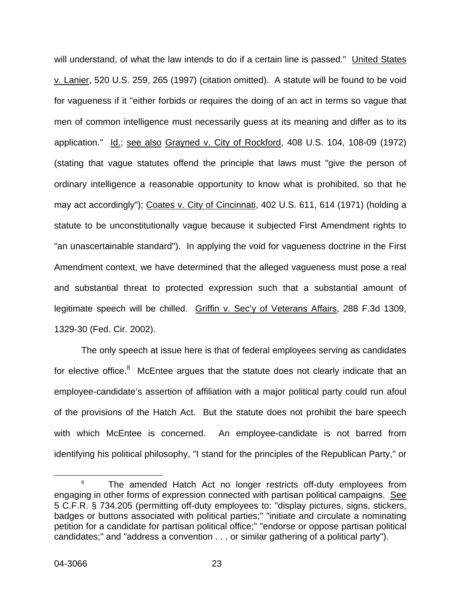will understand, of what the law intends to do if a certain line is passed." United States v. Lanier, 520 U.S. 259, 265 (1997) (citation omitted). A statute will be found to be void for vagueness if it "either forbids or requires the doing of an act in terms so vague that men of common intelligence must necessarily guess at its meaning and differ as to its application." Id.; see also Grayned v. City of Rockford, 408 U.S. 104, 108-09 (1972) (stating that vague statutes offend the principle that laws must "give the person of ordinary intelligence a reasonable opportunity to know what is prohibited, so that he may act accordingly"); Coates v. City of Cincinnati, 402 U.S. 611, 614 (1971) (holding a statute to be unconstitutionally vague because it subjected First Amendment rights to "an unascertainable standard"). In applying the void for vagueness doctrine in the First Amendment context, we have determined that the alleged vagueness must pose a real and substantial threat to protected expression such that a substantial amount of legitimate speech will be chilled. Griffin v. Sec'y of Veterans Affairs, 288 F.3d 1309, 1329-30 (Fed. Cir. 2002).

The only speech at issue here is that of federal employees serving as candidates for elective office. $8$  McEntee argues that the statute does not clearly indicate that an employee-candidate's assertion of affiliation with a major political party could run afoul of the provisions of the Hatch Act. But the statute does not prohibit the bare speech with which McEntee is concerned. An employee-candidate is not barred from identifying his political philosophy, "I stand for the principles of the Republican Party," or

<span id="page-23-0"></span> $\begin{array}{c|c}\n\hline\n\text{1} & \text{2} & \text{3} \\
\hline\n\text{2} & \text{3} & \text{4}\n\end{array}$ <sup>8</sup> The amended Hatch Act no longer restricts off-duty employees from engaging in other forms of expression connected with partisan political campaigns. See 5 C.F.R. § 734.205 (permitting off-duty employees to: "display pictures, signs, stickers, badges or buttons associated with political parties;" "initiate and circulate a nominating petition for a candidate for partisan political office;" "endorse or oppose partisan political candidates;" and "address a convention . . . or similar gathering of a political party").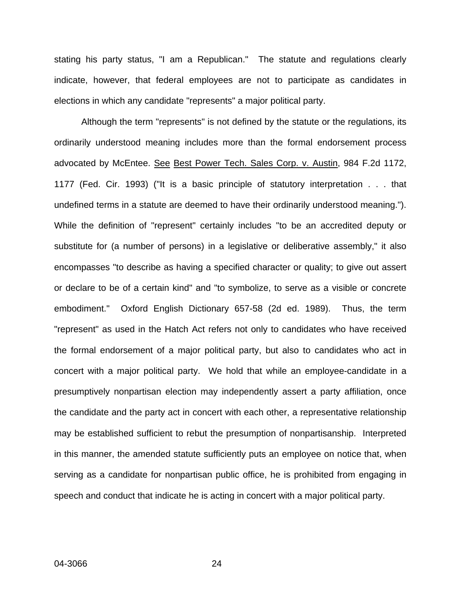stating his party status, "I am a Republican." The statute and regulations clearly indicate, however, that federal employees are not to participate as candidates in elections in which any candidate "represents" a major political party.

Although the term "represents" is not defined by the statute or the regulations, its ordinarily understood meaning includes more than the formal endorsement process advocated by McEntee. See Best Power Tech. Sales Corp. v. Austin, 984 F.2d 1172, 1177 (Fed. Cir. 1993) ("It is a basic principle of statutory interpretation . . . that undefined terms in a statute are deemed to have their ordinarily understood meaning."). While the definition of "represent" certainly includes "to be an accredited deputy or substitute for (a number of persons) in a legislative or deliberative assembly," it also encompasses "to describe as having a specified character or quality; to give out assert or declare to be of a certain kind" and "to symbolize, to serve as a visible or concrete embodiment." Oxford English Dictionary 657-58 (2d ed. 1989). Thus, the term "represent" as used in the Hatch Act refers not only to candidates who have received the formal endorsement of a major political party, but also to candidates who act in concert with a major political party. We hold that while an employee-candidate in a presumptively nonpartisan election may independently assert a party affiliation, once the candidate and the party act in concert with each other, a representative relationship may be established sufficient to rebut the presumption of nonpartisanship. Interpreted in this manner, the amended statute sufficiently puts an employee on notice that, when serving as a candidate for nonpartisan public office, he is prohibited from engaging in speech and conduct that indicate he is acting in concert with a major political party.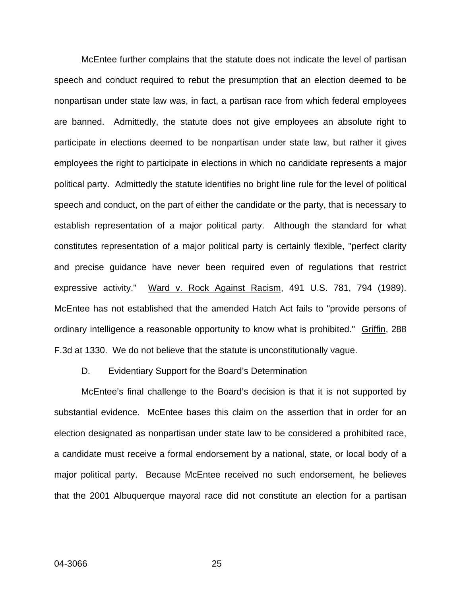McEntee further complains that the statute does not indicate the level of partisan speech and conduct required to rebut the presumption that an election deemed to be nonpartisan under state law was, in fact, a partisan race from which federal employees are banned. Admittedly, the statute does not give employees an absolute right to participate in elections deemed to be nonpartisan under state law, but rather it gives employees the right to participate in elections in which no candidate represents a major political party. Admittedly the statute identifies no bright line rule for the level of political speech and conduct, on the part of either the candidate or the party, that is necessary to establish representation of a major political party. Although the standard for what constitutes representation of a major political party is certainly flexible, "perfect clarity and precise guidance have never been required even of regulations that restrict expressive activity." Ward v. Rock Against Racism, 491 U.S. 781, 794 (1989). McEntee has not established that the amended Hatch Act fails to "provide persons of ordinary intelligence a reasonable opportunity to know what is prohibited." Griffin, 288 F.3d at 1330. We do not believe that the statute is unconstitutionally vague.

#### D. Evidentiary Support for the Board's Determination

McEntee's final challenge to the Board's decision is that it is not supported by substantial evidence. McEntee bases this claim on the assertion that in order for an election designated as nonpartisan under state law to be considered a prohibited race, a candidate must receive a formal endorsement by a national, state, or local body of a major political party. Because McEntee received no such endorsement, he believes that the 2001 Albuquerque mayoral race did not constitute an election for a partisan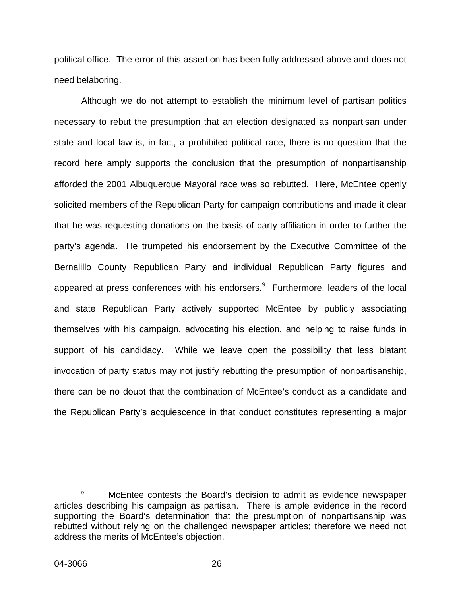political office. The error of this assertion has been fully addressed above and does not need belaboring.

Although we do not attempt to establish the minimum level of partisan politics necessary to rebut the presumption that an election designated as nonpartisan under state and local law is, in fact, a prohibited political race, there is no question that the record here amply supports the conclusion that the presumption of nonpartisanship afforded the 2001 Albuquerque Mayoral race was so rebutted. Here, McEntee openly solicited members of the Republican Party for campaign contributions and made it clear that he was requesting donations on the basis of party affiliation in order to further the party's agenda. He trumpeted his endorsement by the Executive Committee of the Bernalillo County Republican Party and individual Republican Party figures and appeared at press conferences with his endorsers. $9$  Furthermore, leaders of the local and state Republican Party actively supported McEntee by publicly associating themselves with his campaign, advocating his election, and helping to raise funds in support of his candidacy. While we leave open the possibility that less blatant invocation of party status may not justify rebutting the presumption of nonpartisanship, there can be no doubt that the combination of McEntee's conduct as a candidate and the Republican Party's acquiescence in that conduct constitutes representing a major

<span id="page-26-0"></span> <sup>9</sup> McEntee contests the Board's decision to admit as evidence newspaper articles describing his campaign as partisan. There is ample evidence in the record supporting the Board's determination that the presumption of nonpartisanship was rebutted without relying on the challenged newspaper articles; therefore we need not address the merits of McEntee's objection.